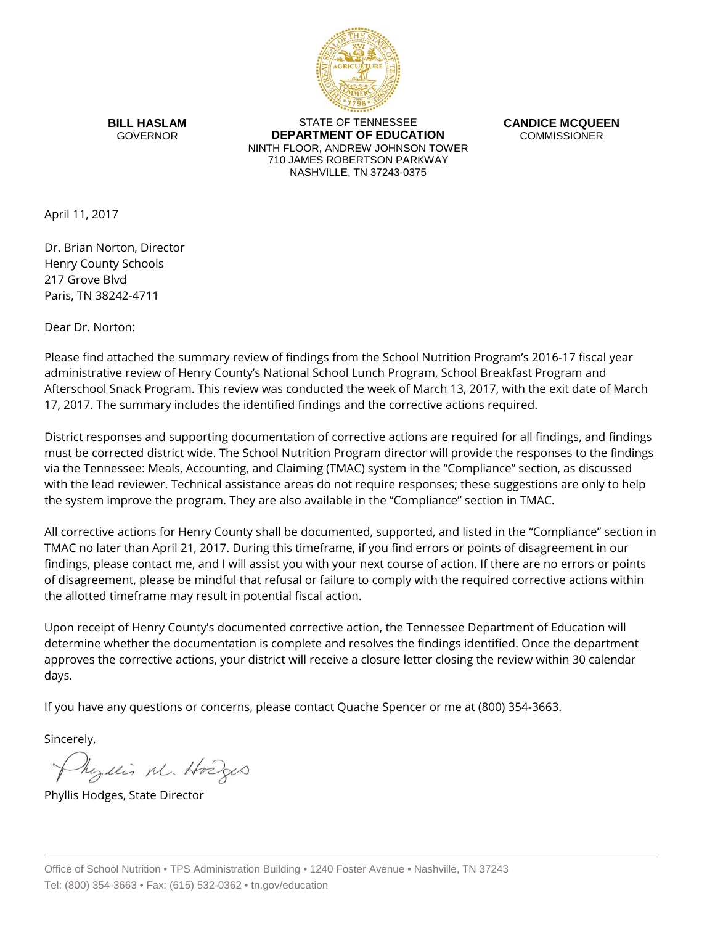

**BILL HASLAM** GOVERNOR

STATE OF TENNESSEE **DEPARTMENT OF EDUCATION** NINTH FLOOR, ANDREW JOHNSON TOWER 710 JAMES ROBERTSON PARKWAY NASHVILLE, TN 37243-0375

**CANDICE MCQUEEN** COMMISSIONER

April 11, 2017

Dr. Brian Norton, Director Henry County Schools 217 Grove Blvd Paris, TN 38242-4711

Dear Dr. Norton:

Please find attached the summary review of findings from the School Nutrition Program's 2016-17 fiscal year administrative review of Henry County's National School Lunch Program, School Breakfast Program and Afterschool Snack Program. This review was conducted the week of March 13, 2017, with the exit date of March 17, 2017. The summary includes the identified findings and the corrective actions required.

District responses and supporting documentation of corrective actions are required for all findings, and findings must be corrected district wide. The School Nutrition Program director will provide the responses to the findings via the Tennessee: Meals, Accounting, and Claiming (TMAC) system in the "Compliance" section, as discussed with the lead reviewer. Technical assistance areas do not require responses; these suggestions are only to help the system improve the program. They are also available in the "Compliance" section in TMAC.

All corrective actions for Henry County shall be documented, supported, and listed in the "Compliance" section in TMAC no later than April 21, 2017. During this timeframe, if you find errors or points of disagreement in our findings, please contact me, and I will assist you with your next course of action. If there are no errors or points of disagreement, please be mindful that refusal or failure to comply with the required corrective actions within the allotted timeframe may result in potential fiscal action.

Upon receipt of Henry County's documented corrective action, the Tennessee Department of Education will determine whether the documentation is complete and resolves the findings identified. Once the department approves the corrective actions, your district will receive a closure letter closing the review within 30 calendar days.

If you have any questions or concerns, please contact Quache Spencer or me at (800) 354-3663.

Sincerely,

Myllis M. Hodges

Phyllis Hodges, State Director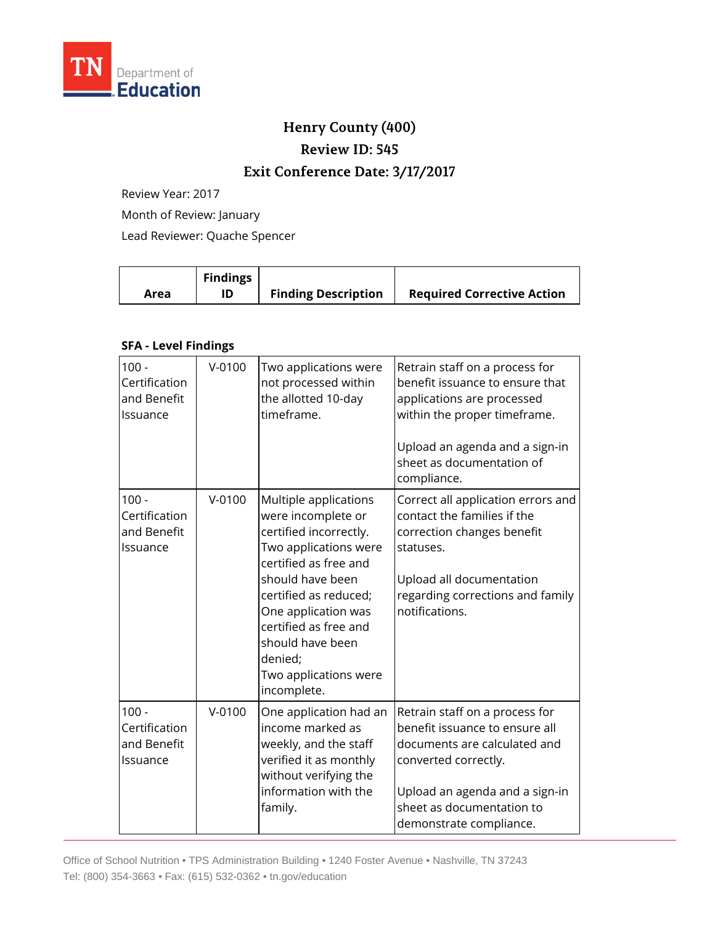

# **Henry County (400)**

**Review ID: 545**

## **Exit Conference Date: 3/17/2017**

Review Year: 2017

Month of Review: January

Lead Reviewer: Quache Spencer

| <b>Findings</b><br>Area | <b>Finding Description</b> | <b>Required Corrective Action</b> |
|-------------------------|----------------------------|-----------------------------------|
|-------------------------|----------------------------|-----------------------------------|

#### **SFA - Level Findings**

| $100 -$<br>Certification<br>and Benefit<br>Issuance | $V - 0100$ | Two applications were<br>not processed within<br>the allotted 10-day<br>timeframe.                                                                                                                                                                                                          | Retrain staff on a process for<br>benefit issuance to ensure that<br>applications are processed<br>within the proper timeframe.<br>Upload an agenda and a sign-in<br>sheet as documentation of<br>compliance.      |
|-----------------------------------------------------|------------|---------------------------------------------------------------------------------------------------------------------------------------------------------------------------------------------------------------------------------------------------------------------------------------------|--------------------------------------------------------------------------------------------------------------------------------------------------------------------------------------------------------------------|
| $100 -$<br>Certification<br>and Benefit<br>Issuance | $V-0100$   | Multiple applications<br>were incomplete or<br>certified incorrectly.<br>Two applications were<br>certified as free and<br>should have been<br>certified as reduced;<br>One application was<br>certified as free and<br>should have been<br>denied;<br>Two applications were<br>incomplete. | Correct all application errors and<br>contact the families if the<br>correction changes benefit<br>statuses.<br>Upload all documentation<br>regarding corrections and family<br>notifications.                     |
| $100 -$<br>Certification<br>and Benefit<br>lssuance | $V-0100$   | One application had an<br>income marked as<br>weekly, and the staff<br>verified it as monthly<br>without verifying the<br>information with the<br>family.                                                                                                                                   | Retrain staff on a process for<br>benefit issuance to ensure all<br>documents are calculated and<br>converted correctly.<br>Upload an agenda and a sign-in<br>sheet as documentation to<br>demonstrate compliance. |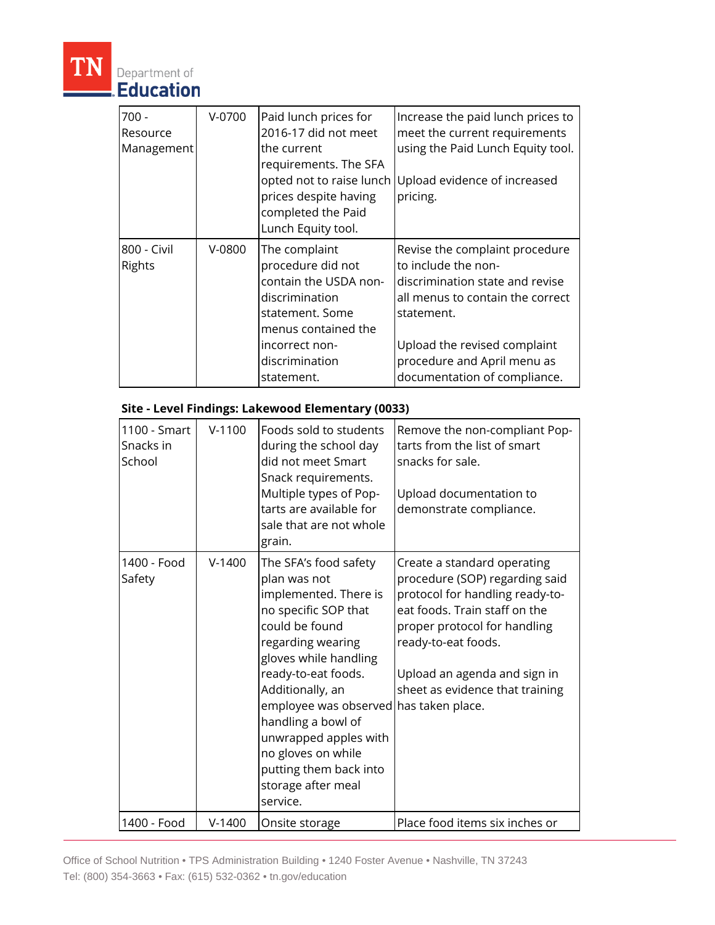

# Department of

| $700 -$<br>Resource<br>Management | $V-0700$ | Paid lunch prices for<br>2016-17 did not meet<br>the current<br>requirements. The SFA<br>opted not to raise lunch<br>prices despite having<br>completed the Paid<br>Lunch Equity tool. | Increase the paid lunch prices to<br>meet the current requirements<br>using the Paid Lunch Equity tool.<br>Upload evidence of increased<br>pricing.                                                                                       |
|-----------------------------------|----------|----------------------------------------------------------------------------------------------------------------------------------------------------------------------------------------|-------------------------------------------------------------------------------------------------------------------------------------------------------------------------------------------------------------------------------------------|
| 800 - Civil<br><b>Rights</b>      | $V-0800$ | The complaint<br>procedure did not<br>contain the USDA non-<br>discrimination<br>statement. Some<br>menus contained the<br>incorrect non-<br>discrimination<br>statement.              | Revise the complaint procedure<br>to include the non-<br>discrimination state and revise<br>all menus to contain the correct<br>statement.<br>Upload the revised complaint<br>procedure and April menu as<br>documentation of compliance. |

### **Site - Level Findings: Lakewood Elementary (0033)**

| 1100 - Smart<br>Snacks in<br>School | $V-1100$ | Foods sold to students<br>during the school day<br>did not meet Smart<br>Snack requirements.<br>Multiple types of Pop-<br>tarts are available for<br>sale that are not whole<br>grain.                                                                                                                                                                                       | Remove the non-compliant Pop-<br>tarts from the list of smart<br>snacks for sale.<br>Upload documentation to<br>demonstrate compliance.                                                                                                                     |
|-------------------------------------|----------|------------------------------------------------------------------------------------------------------------------------------------------------------------------------------------------------------------------------------------------------------------------------------------------------------------------------------------------------------------------------------|-------------------------------------------------------------------------------------------------------------------------------------------------------------------------------------------------------------------------------------------------------------|
| 1400 - Food<br>Safety               | $V-1400$ | The SFA's food safety<br>plan was not<br>implemented. There is<br>no specific SOP that<br>could be found<br>regarding wearing<br>gloves while handling<br>ready-to-eat foods.<br>Additionally, an<br>employee was observed has taken place.<br>handling a bowl of<br>unwrapped apples with<br>no gloves on while<br>putting them back into<br>storage after meal<br>service. | Create a standard operating<br>procedure (SOP) regarding said<br>protocol for handling ready-to-<br>eat foods. Train staff on the<br>proper protocol for handling<br>ready-to-eat foods.<br>Upload an agenda and sign in<br>sheet as evidence that training |
| 1400 - Food                         | $V-1400$ | Onsite storage                                                                                                                                                                                                                                                                                                                                                               | Place food items six inches or                                                                                                                                                                                                                              |